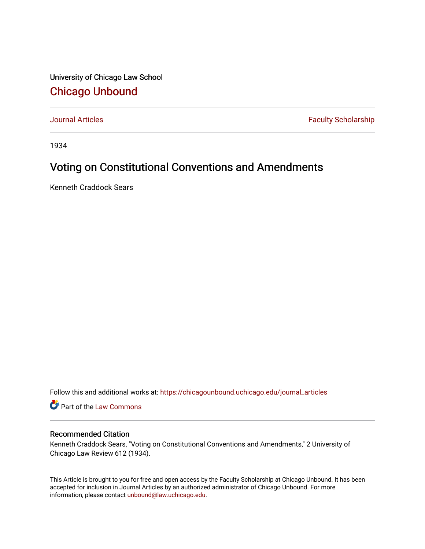University of Chicago Law School [Chicago Unbound](https://chicagounbound.uchicago.edu/)

[Journal Articles](https://chicagounbound.uchicago.edu/journal_articles) **Faculty Scholarship Faculty Scholarship** 

1934

# Voting on Constitutional Conventions and Amendments

Kenneth Craddock Sears

Follow this and additional works at: [https://chicagounbound.uchicago.edu/journal\\_articles](https://chicagounbound.uchicago.edu/journal_articles?utm_source=chicagounbound.uchicago.edu%2Fjournal_articles%2F9585&utm_medium=PDF&utm_campaign=PDFCoverPages) 

**C** Part of the [Law Commons](http://network.bepress.com/hgg/discipline/578?utm_source=chicagounbound.uchicago.edu%2Fjournal_articles%2F9585&utm_medium=PDF&utm_campaign=PDFCoverPages)

# Recommended Citation

Kenneth Craddock Sears, "Voting on Constitutional Conventions and Amendments," 2 University of Chicago Law Review 612 (1934).

This Article is brought to you for free and open access by the Faculty Scholarship at Chicago Unbound. It has been accepted for inclusion in Journal Articles by an authorized administrator of Chicago Unbound. For more information, please contact [unbound@law.uchicago.edu](mailto:unbound@law.uchicago.edu).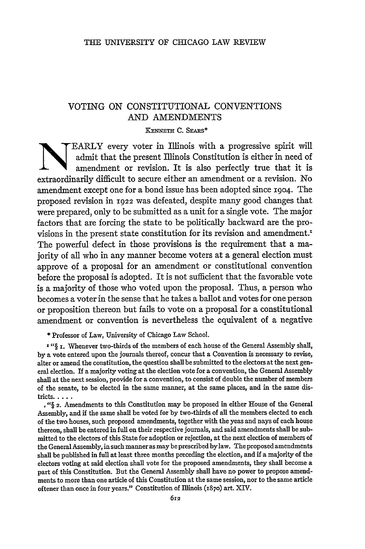## VOTING ON CONSTITUTIONAL CONVENTIONS AND AMENDMENTS

### **KENNETH C. SEARS\***

EARLY every voter in Illinois with a progressive spirit will admit that the present Illinois Constitution is either in need of amendment or revision. It is also perfectly true that it is extraordinarily difficult to secure either an amendment or a revision. No amendment except one for a bond issue has been adopted since 19o4. The proposed revision in 1922 was defeated, despite many good changes that were prepared, only to be submitted as a unit for a single vote. The major factors that are forcing the state to be politically backward are the provisions in the present state constitution for its revision and amendment.' The powerful defect in those provisions is the requirement that a majority of all who in any manner become voters at a general election must approve of a proposal for an amendment or constitutional convention before the proposal is adopted. It is not sufficient that the favorable vote is a majority of those who voted upon the proposal. Thus, a person who becomes a voter in the sense that he takes a ballot and votes for one person or proposition thereon but fails to vote on a proposal for a constitutional amendment or convention is nevertheless the equivalent of a negative

**\*** Professor of Law, University of Chicago Law School.

x **"§** *i.* Whenever two-thirds of the members of each house of the General Assembly shall, by a vote entered upon the journals thereof, concur that a Convention is necessary to revise, alter or amend the constitution, the question shall be submitted to the electors at the next general election. If a majority voting at the election vote for a convention, the General Assembly shall at the next session, provide for a convention, to consist of double the number of members of the senate, to be elected in the same manner, at the same places, and in the same districts **.....**

**, "§ 2.** Amendments to this Constitution may be proposed in either House of the General Assembly, and if the same shall be voted for by two-thirds of all the members elected to each of the two houses, such proposed amendments, together with the yeas and nays of each house thereon, shall be entered in full on their respective journals, and said amendments shall be submitted to the electors of this State for adoption or rejection, at the next election of members of the General Assembly, in such manner as may be prescribed bylaw. The proposed amendments shall be published in full at least three months preceding the election, and if a majority of the electors voting at said election shall vote for the proposed amendments, they shall become a part of this Constitution. But the General Assembly shall have no power to propose amendments to more than one article of this Constitution at the same session, nor to the same article oftener than once in four years." Constitution of Illinois (1870) art. XIV.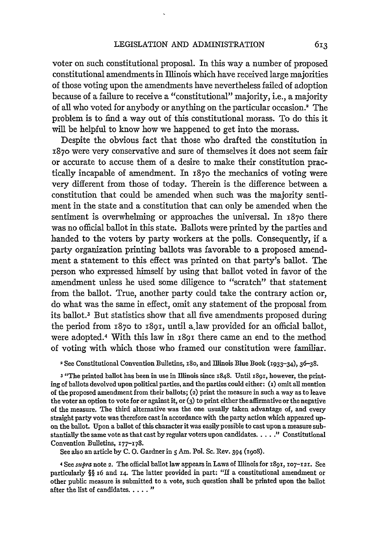voter on such constitutional proposal. In this way a number of proposed constitutional amendments in Illinois which have received large majorities of those voting upon the amendments have nevertheless failed of adoption because of a failure to receive a "constitutional" majority, i.e., a majority of all who voted for anybody or anything on the particular occasion.2 The problem is to find a way out of this constitutional morass. To do this it will be helpful to know how we happened to get into the morass.

Despite the obvious fact that those who drafted the constitution in 1870 were very conservative and sure of themselves it does not seem fair or accurate to accuse them of a desire to make their constitution practically incapable of amendment. In **1870** the mechanics of voting were very different from those of today. Therein is the difference between a constitution that could be amended when such was the majority sentiment in the state and a constitution that can only be amended when the sentiment is overwhelming or approaches the universal. In **1870** there was no official ballot in this state. Ballots were printed by the parties and handed to the voters by party workers at the polls. Consequently, if a party organization printing ballots was favorable to a proposed amendment a statement to this effect was printed on that party's ballot. The person who expressed himself by using that ballot voted in favor of the amendment unless he used some diligence to "scratch" that statement from the ballot. True, another party could take the contrary action or, do what was the same in effect, omit any statement of the proposal from its ballot.3 But statistics show that all five amendments proposed during the period from **1870** to i89i, until a.law provided for an official ballot, were adopted.4 With this law in 1891 there came an end to the method of voting with which those who framed our constitution were familiar.

'See Constitutional Convention Bulletins, i8o, and Illinois Blue Book (i933-34), 36-38.

<sup>3</sup> "The printed ballot has been in use in Illinois since 1848. Until 1891, however, the printing of ballots devolved upon political parties, and the parties could either: (1) omit all mention of the proposed amendment from their ballots; (2) print the measure in such a way as to leave the voter an option to vote for or against it, or (3) to print either the affirmative or the negative of the measure. The third alternative was the one usually taken advantage of, and every straight party vote was therefore cast in accordance with the party action which appeared upon the ballot. Upon a ballot of this character it was easily possible to cast upon a measure substantially the same vote as that cast by regular voters upon candidates **..... "** Constitutional Convention Bulletins, **177-178.**

See also an article **by** C. **0.** Gardner in **5 Am.** Pol. Sc. Rev. 394 **(1908).**

<sup>4</sup>See supra note 2. The official ballot law appears in Laws of Illinois for i89i, **107-121.** See particularly §§ 16 and **i4.** The latter provided in part: "If a constitutional amendment or other public measure is submitted to a vote, such question shall be printed upon the ballot after the list of candidates **..... Y**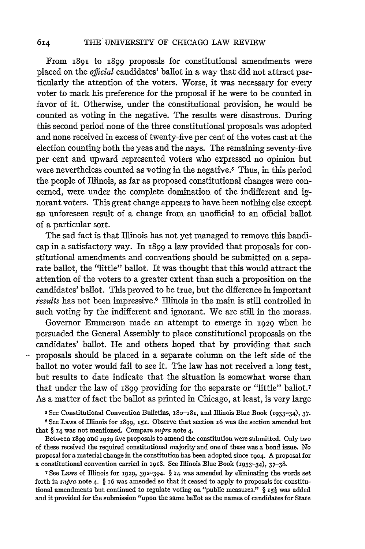#### 614 THE UNIVERSITY OF CHICAGO LAW REVIEW

From **189i** to 1899 proposals for constitutional amendments were placed on the *official* candidates' ballot in a way that did not attract particularly the attention of the voters. Worse, it was necessary for every voter to mark his preference for the proposal if he were to be counted in favor of it. Otherwise, under the constitutional provision, he would be counted as voting in the negative. The results were disastrous. During this second period none of the three constitutional proposals was adopted and none received in excess of twenty-five per cent of the votes cast at the election counting both the yeas and the nays. The remaining seventy-five per cent and upward represented voters who expressed no opinion but were nevertheless counted as voting in the negative.3 Thus, in this period the people of Illinois, as far as proposed constitutional changes were concerned, were under the complete domination of the indifferent and ignorant voters. This great change appears to have been nothing else except an unforeseen result of a change from an unofficial to an official ballot of a particular sort.

The sad fact is that Illinois has not yet managed to remove this handicap in a satisfactory way. In 1899 a law provided that proposals for constitutional amendments and conventions should be submitted on a separate ballot, the "little" ballot. It was thought that this would attract the attention of the voters to a greater extent than such a proposition on the candidates' ballot. This proved to be true, but the difference in important *results* has not been impressive.6 fllinois in the main is still controlled in such voting by the indifferent and ignorant. We are still in the morass.

Governor Emmerson made an attempt to emerge in 1929 when he persuaded the General Assembly to place constitutional proposals on the candidates' ballot. He and others hoped that by providing that such  $\cdot$  proposals should be placed in a separate column on the left side of the ballot no voter would fail to see it. The law has not received a long test, but results to date indicate that the situation is somewhat worse than that under the law of 1899 providing for the separate or "little" ballot.<sup>7</sup> As a matter of fact the ballot as printed in Chicago, at least, is very large

s See Constitutional Convention Bulletins, i8o-i8i, and Illinois Blue Book (x933-34), **37. 6** See Laws of Illinois for 1899, **151.** Observe that section 16 was the section amended but that § **14** was not mentioned. Compare *supra* note 4.

Between 1899 and 1929 five proposals to amend the constitution were submitted. Only two of these received the required constitutional majority and one of these was a bond issue. No proposal for a material change in the constitution has been adopted since 19o4. **A** proposal for a constitutional convention carried in 1918. See Illinois Blue Book (1933-34), 37-38.

**<sup>7</sup>**See Laws of Illinois for **1929,** 392-394. § X4 was amended **by** eliminating the words set forth in *supra* note **4.** § **i6** was amended so that it ceased to apply to proposals for constitutional amendments but continued to regulate voting on "public measures." § 15<sup>3</sup> was added and it provided for the submission "upon the same ballot as the names of candidates for State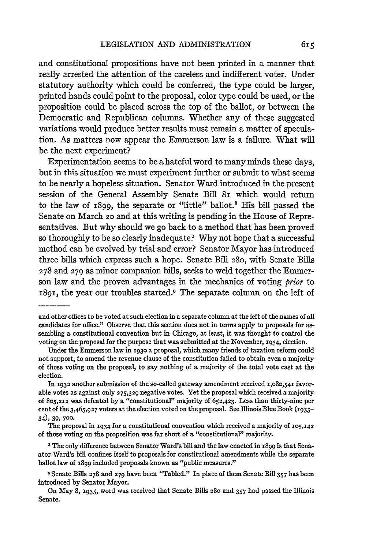and constitutional propositions have not been printed in a manner that really arrested the attention of the careless and indifferent voter. Under statutory authority which could be conferred, the type could be larger, printed hands could point to the proposal, color type could be used, or the proposition could be placed across the top of the ballot, or between the Democratic and Republican columns. Whether any of these suggested variations would produce better results must remain a matter of speculation. As matters now appear the Emmerson law is a failure. What will be the next experiment?

Experimentation seems to be a hateful word to many minds these days, but in this situation we must experiment further or submit to what seems to be nearly a hopeless situation. Senator Ward introduced in the present session of the General Assembly Senate Bill 81 which would return to the law of 1899, the separate or "little" ballot.8 His bill passed the Senate on March 2o and at this writing is pending in the House of Representatives. But why should we go back to a method that has been proved so thoroughly to be so clearly inadequate? Why not hope that a successful method can be evolved by trial and error? Senator Mayor has introduced three bills which express such a hope. Senate Bill 28o, with Senate Bills **278** and **279** as minor companion bills, seeks to weld together the Emmerson law and the proven advantages in the mechanics of voting *prior* to **189 <sup>i</sup> ,** the year our troubles started.9 The separate column on the left of

<sup>8</sup> The only difference between Senator Ward's bill and the law enacted in 1899 is that Senaator Ward's bill confines itself to proposals for constitutional amendments while the separate ballot law of **1899** included proposals known as "public measures."

and other offices to be voted at such election in a separate column at the left of the names of all candidates for office." Observe that this section does not in terms apply to proposals for assembling a constitutional convention but in Chicago, at least, it was thought to control the voting on the proposal for the purpose that was submitted at the November, 1934, election.

Under the Emmerson law in ig3o a proposal, which many friends of taxation reform could not support, to amend the revenue clause of the constitution failed to obtain even a majority of those voting on the proposal, to say nothing of a majority of the total vote cast at the election.

In 1932 another submission of the so-called gateway amendment received **1,080,541** favorable votes as against only **275,329** negative votes. Yet **the** proposal which received a majority, of 805,212 was defeated by a "constitutional" majority of **652,423.** Less than thirty-nine per cent of the **3,465,927** voters at the election voted on the proposal. See Illinois Blue Book (1933- **34), 39, 700.**

The proposal in **1934** for a constitutional convention which received a majority of **io5,i42** of those voting on the proposition was far short of a "constitutional" majority.

**<sup>9</sup>** Senate Bills **278** and **279** have been "Tabled." In place of them Senate Bill 357 has been introduced **by** Senator Mayor.

On May **8, 1935,** word was received that Senate Bills **280** and 357 had passed the Illinois Senate.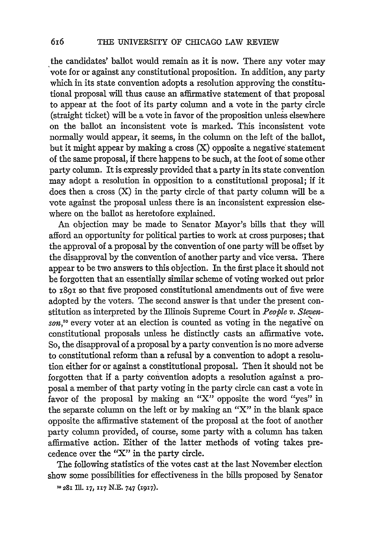the candidates' ballot would remain as it is now. There any voter may vote for or against any constitutional proposition. In addition, any party which in its state convention adopts a resolution approving the constitutional proposal will thus cause an affirmative statement of that proposal to appear at the foot of its party column and a vote in the party circle (straight ticket) will be a vote in favor of the proposition unless elsewhere on the ballot an inconsistent vote is marked. This inconsistent vote normally would appear, it seems, in the column on the left of the ballot, but it might appear by making a cross (X) opposite a negative statement of the same proposal, if there happens to be such, at the foot of some other party column. It is expressly provided that a party in its state convention may adopt a resolution in opposition to a constitutional proposal; if it does then a cross  $(X)$  in the party circle of that party column will be a vote against the proposal unless there is an inconsistent expression elsewhere on the ballot as heretofore explained.

An objection may be made to Senator Mayor's bills that they will afford an opportunity for political parties to work at cross purposes; that the approval of a proposal by the convention of one party will be offset by the disapproval by the convention of another party and vice versa. There appear to be two answers to this objection. In the first place it should not be forgotten that an essentially similar scheme of voting worked out prior to **189i** so that five proposed constitutional amendments out of five were adopted by the voters. The second answer is that under the present constitution as interpreted by the Illinois Supreme Court in *People v. Steven*son,<sup>10</sup> every voter at an election is counted as voting in the negative on constitutional proposals unless he distinctly casts an affirmative vote. So, the disapproval of a proposal by a party convention is no more adverse to constitutional reform than a refusal by a convention to adopt a resolution either for or against a constitutional proposal. Then it should not be forgotten that if a party convention adopts a resolution against a proposal a member of that party voting in the party circle can cast a vote in favor of the proposal by making an "X" opposite the word "yes" in the separate column on the left or by making an "X" in the blank space opposite the affirmative statement of the proposal at the foot of another party column provided, of course, some party with a column has taken affirmative action. Either of the latter methods of voting takes precedence over the "X" in the party circle.

The following statistics of the votes cast at the last November election show some possibilities for effectiveness in the bills proposed by Senator

**<sup>10 281</sup> IM. 17, 117 N.E. 747 (I917).**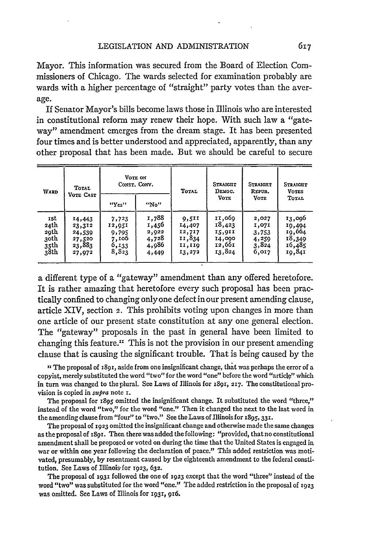Mayor. This information was secured from the Board of Election Commissioners of Chicago. The wards selected for examination probably are wards with a higher percentage of "straight" party votes than the average.

If Senator Mayor's bills become laws those in Illinois who are interested in constitutional reform may renew their hope. With such law a "gateway" amendment emerges from the dream stage. It has been presented four times and is better understood and appreciated, apparently, than any other proposal that has been made. But we should be careful to secure

| <b>WARD</b>                                 | TOTAL<br>VOTE CAST                                       | VOTE ON<br>CONST. CONV.                             |                                                    | TOTAL                                                    | <b>STRAIGHT</b><br><b>DEMOC.</b>                         | STRAIGHT<br>REPUB.                                 | <b>STRAIGHT</b><br><b>VOTES</b>                          |
|---------------------------------------------|----------------------------------------------------------|-----------------------------------------------------|----------------------------------------------------|----------------------------------------------------------|----------------------------------------------------------|----------------------------------------------------|----------------------------------------------------------|
|                                             |                                                          | "Yes"                                               | "No"                                               |                                                          | Vote                                                     | <b>VOTE</b>                                        | TOTAL                                                    |
| ıst<br>24th<br>20th<br>30th<br>35th<br>38th | 14,443<br>23,312<br>24,539<br>27,520<br>23,883<br>27,972 | 7,723<br>12,951<br>9,795<br>7,100<br>6,133<br>8,823 | 1,788<br>1,456<br>2,922<br>4,728<br>4,986<br>4,449 | 9,511<br>14,407<br>12,717<br>11,834<br>II, IIQ<br>13,272 | 11,060<br>18,423<br>15,911<br>14,000<br>12,661<br>13,824 | 2,027<br>1,071<br>3,753<br>4,259<br>3,824<br>6,017 | 13,006<br>19,494<br>19,664<br>18,349<br>16,485<br>19,841 |

a different type of a "gateway" amendment than any offered heretofore. It is rather amazing that heretofore every such proposal has been practically confined to changing only one defect in our present amending clause, article XIV, section 2. This prohibits voting upon changes in more than one article of our present state constitution at any one general election. The "gateway" proposals in the past in general have been limited to changing this feature." This is not the provision in our present amending clause that is causing the significant trouble. That is being caused by the

<sup>11</sup> The proposal of 1891, aside from one insignificant change, that was perhaps the error of a copyist, merely substituted the word "two" for the word "one" before the word "article" which in turn was changed to the plural. See Laws of Illinois for 1891, 217. The constitutional provision is copied in *sutpra* note **i.**

The proposal for 1895 omitted the insignificant change. It substituted the word "three," instead of the word "two," for the word "one." Then it changed the next to the last word in the amending clause from "four" to "two." See the Laws of Illinois for 1895, **331.**

The proposal of **1923** omitted the insignificant change and otherwise made the same changes as the proposal of *18gi.* Then there was added the following: "provided, thatno constitutional amendment shall be proposed or voted on during the time that the United States is engaged in war or within one year following the declaration of peace." This added restriction was motivated, presumably, by resentment caused by the eighteenth amendment to the federal constitution. See Laws of Illinois-for **1923, 632.**

The proposal of **1931** followed the one of **1923** except that the word "three" instead of the word "two" was substituted for the word "one." The added restriction in the proposal **of** 1923 was omitted. See Laws of Illinois for **1931,** 916.